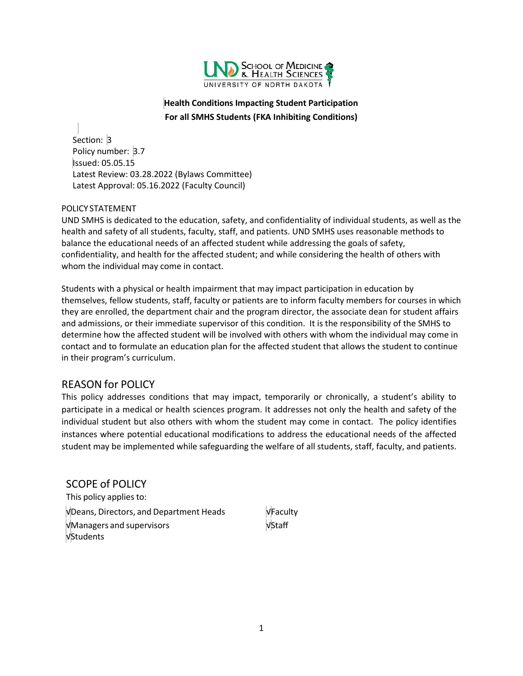

### **Health Conditions Impacting Student Participation For all SMHS Students (FKA Inhibiting Conditions)**

Section: 3 Policy number: 3.7 Issued: 05.05.15 Latest Review: 03.28.2022 (Bylaws Committee) Latest Approval: 05.16.2022 (Faculty Council)

### POLICY STATEMENT

UND SMHS is dedicated to the education, safety, and confidentiality of individual students, as well as the health and safety of all students, faculty, staff, and patients. UND SMHS uses reasonable methods to balance the educational needs of an affected student while addressing the goals of safety, confidentiality, and health for the affected student; and while considering the health of others with whom the individual may come in contact.

Students with a physical or health impairment that may impact participation in education by themselves, fellow students, staff, faculty or patients are to inform faculty members for courses in which they are enrolled, the department chair and the program director, the associate dean for student affairs and admissions, or their immediate supervisor of this condition. It is the responsibility of the SMHS to determine how the affected student will be involved with others with whom the individual may come in contact and to formulate an education plan for the affected student that allows the student to continue in their program's curriculum.

## REASON for POLICY

This policy addresses conditions that may impact, temporarily or chronically, a student's ability to participate in a medical or health sciences program. It addresses not only the health and safety of the individual student but also others with whom the student may come in contact. The policy identifies instances where potential educational modifications to address the educational needs of the affected student may be implemented while safeguarding the welfare of all students, staff, faculty, and patients.

<span id="page-0-0"></span>SCOPE of POLICY This policy applies to: √Deans, Directors, and Department Heads √Faculty √Managers and supervisors √Staff √Students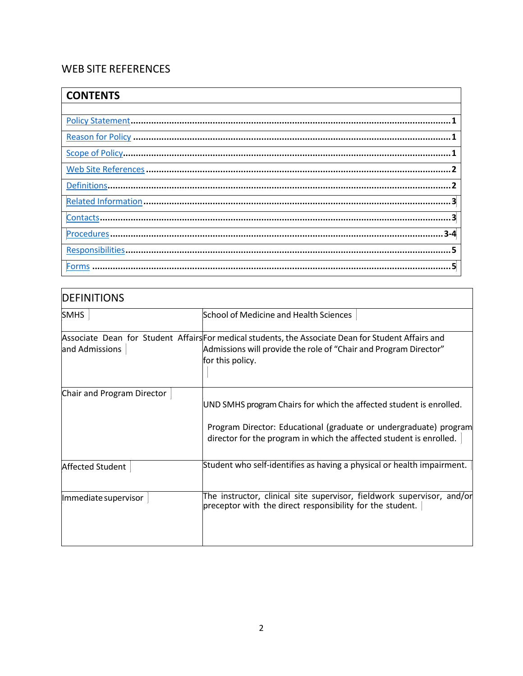# WEB SITE REFERENCES

| <b>CONTENTS</b> |
|-----------------|
|                 |
|                 |
|                 |
|                 |
|                 |
|                 |
|                 |
|                 |
| $3 - 4$         |
|                 |
| 회<br>Forms      |

| <b>DEFINITIONS</b>         |                                                                                                                                                                                                                 |
|----------------------------|-----------------------------------------------------------------------------------------------------------------------------------------------------------------------------------------------------------------|
| <b>SMHS</b>                | <b>School of Medicine and Health Sciences</b>                                                                                                                                                                   |
| and Admissions             | Associate Dean for Student Affairs For medical students, the Associate Dean for Student Affairs and<br>Admissions will provide the role of "Chair and Program Director"<br>for this policy.                     |
| Chair and Program Director | UND SMHS program Chairs for which the affected student is enrolled.<br>Program Director: Educational (graduate or undergraduate) program<br>director for the program in which the affected student is enrolled. |
| Affected Student           | Student who self-identifies as having a physical or health impairment.                                                                                                                                          |
| Immediate supervisor       | The instructor, clinical site supervisor, fieldwork supervisor, and/or<br>preceptor with the direct responsibility for the student.                                                                             |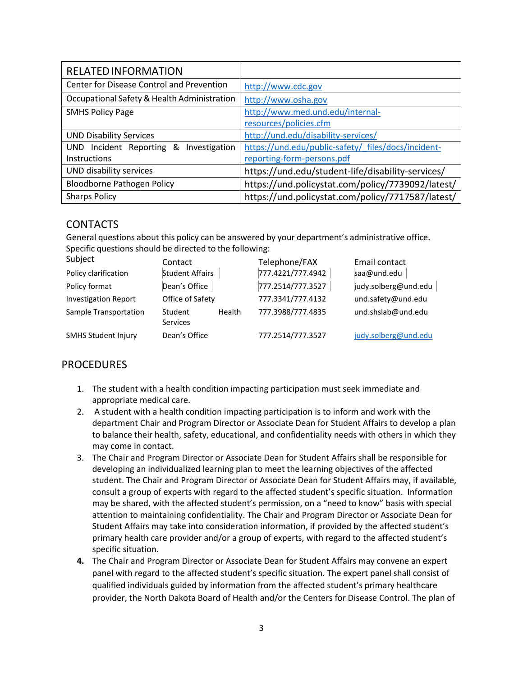| <b>RELATED INFORMATION</b>                  |                                                     |
|---------------------------------------------|-----------------------------------------------------|
| Center for Disease Control and Prevention   | http://www.cdc.gov                                  |
| Occupational Safety & Health Administration | http://www.osha.gov                                 |
| <b>SMHS Policy Page</b>                     | http://www.med.und.edu/internal-                    |
|                                             | resources/policies.cfm                              |
| <b>UND Disability Services</b>              | http://und.edu/disability-services/                 |
| UND Incident Reporting &<br>Investigation   | https://und.edu/public-safety/ files/docs/incident- |
| Instructions                                | reporting-form-persons.pdf                          |
| UND disability services                     | https://und.edu/student-life/disability-services/   |
| Bloodborne Pathogen Policy                  | https://und.policystat.com/policy/7739092/latest/   |
| <b>Sharps Policy</b>                        | https://und.policystat.com/policy/7717587/latest/   |

### CONTACTS

General questions about this policy can be answered by your department's administrative office. Specific questions should be directed to the following:

| Subject                     | Contact                       | Telephone/FAX     | Email contact        |
|-----------------------------|-------------------------------|-------------------|----------------------|
| Policy clarification        | <b>Student Affairs</b>        | 777.4221/777.4942 | saa@und.edu          |
| Policy format               | Dean's Office                 | 777.2514/777.3527 | judy.solberg@und.edu |
| <b>Investigation Report</b> | Office of Safety              | 777.3341/777.4132 | und.safety@und.edu   |
| Sample Transportation       | Health<br>Student<br>Services | 777.3988/777.4835 | und.shslab@und.edu   |
| <b>SMHS Student Injury</b>  | Dean's Office                 | 777.2514/777.3527 | judy.solberg@und.edu |

## **PROCEDURES**

- 1. The student with a health condition impacting participation must seek immediate and appropriate medical care.
- 2. A student with a health condition impacting participation is to inform and work with the department Chair and Program Director or Associate Dean for Student Affairs to develop a plan to balance their health, safety, educational, and confidentiality needs with others in which they may come in contact.
- 3. The Chair and Program Director or Associate Dean for Student Affairs shall be responsible for developing an individualized learning plan to meet the learning objectives of the affected student. The Chair and Program Director or Associate Dean for Student Affairs may, if available, consult a group of experts with regard to the affected student's specific situation. Information may be shared, with the affected student's permission, on a "need to know" basis with special attention to maintaining confidentiality. The Chair and Program Director or Associate Dean for Student Affairs may take into consideration information, if provided by the affected student's primary health care provider and/or a group of experts, with regard to the affected student's specific situation.
- **4.** The Chair and Program Director or Associate Dean for Student Affairs may convene an expert panel with regard to the affected student's specific situation. The expert panel shall consist of qualified individuals guided by information from the affected student's primary healthcare provider, the North Dakota Board of Health and/or the Centers for Disease Control. The plan of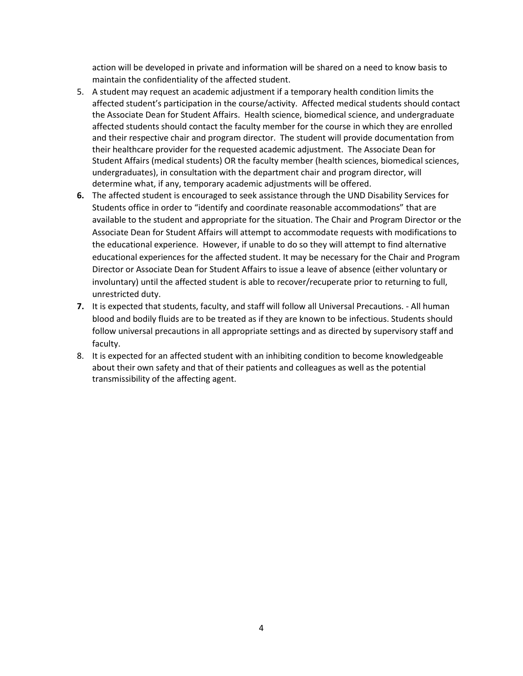action will be developed in private and information will be shared on a need to know basis to maintain the confidentiality of the affected student.

- 5. A student may request an academic adjustment if a temporary health condition limits the affected student's participation in the course/activity. Affected medical students should contact the Associate Dean for Student Affairs. Health science, biomedical science, and undergraduate affected students should contact the faculty member for the course in which they are enrolled and their respective chair and program director. The student will provide documentation from their healthcare provider for the requested academic adjustment. The Associate Dean for Student Affairs (medical students) OR the faculty member (health sciences, biomedical sciences, undergraduates), in consultation with the department chair and program director, will determine what, if any, temporary academic adjustments will be offered.
- **6.** The affected student is encouraged to seek assistance through the UND Disability Services for Students office in order to "identify and coordinate reasonable accommodations" that are available to the student and appropriate for the situation. The Chair and Program Director or the Associate Dean for Student Affairs will attempt to accommodate requests with modifications to the educational experience. However, if unable to do so they will attempt to find alternative educational experiences for the affected student. It may be necessary for the Chair and Program Director or Associate Dean for Student Affairs to issue a leave of absence (either voluntary or involuntary) until the affected student is able to recover/recuperate prior to returning to full, unrestricted duty.
- **7.** It is expected that students, faculty, and staff will follow all Universal Precautions. ‐ All human blood and bodily fluids are to be treated as if they are known to be infectious. Students should follow universal precautions in all appropriate settings and as directed by supervisory staff and faculty.
- 8. It is expected for an affected student with an inhibiting condition to become knowledgeable about their own safety and that of their patients and colleagues as well as the potential transmissibility of the affecting agent.